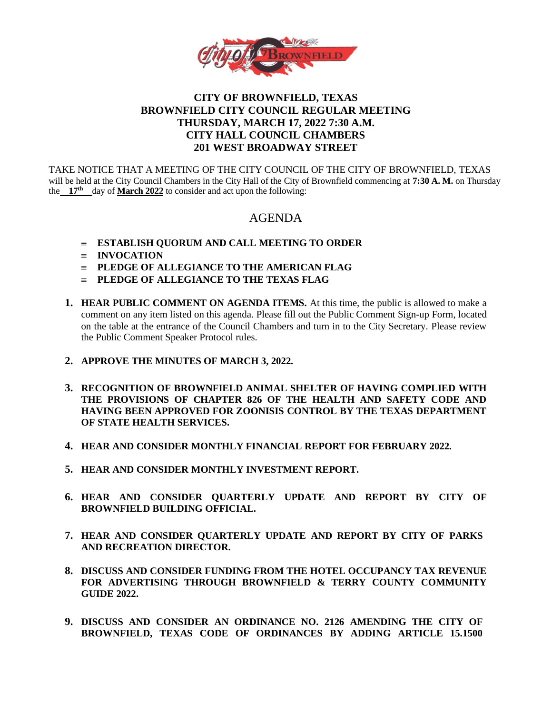

## **CITY OF BROWNFIELD, TEXAS BROWNFIELD CITY COUNCIL REGULAR MEETING THURSDAY, MARCH 17, 2022 7:30 A.M. CITY HALL COUNCIL CHAMBERS 201 WEST BROADWAY STREET**

TAKE NOTICE THAT A MEETING OF THE CITY COUNCIL OF THE CITY OF BROWNFIELD, TEXAS will be held at the City Council Chambers in the City Hall of the City of Brownfield commencing at **7:30 A. M.** on Thursday the 17<sup>th</sup> day of March 2022 to consider and act upon the following:

# AGENDA

- **ESTABLISH QUORUM AND CALL MEETING TO ORDER**
- **INVOCATION**
- **PLEDGE OF ALLEGIANCE TO THE AMERICAN FLAG**
- **PLEDGE OF ALLEGIANCE TO THE TEXAS FLAG**
- **1. HEAR PUBLIC COMMENT ON AGENDA ITEMS.** At this time, the public is allowed to make a comment on any item listed on this agenda. Please fill out the Public Comment Sign-up Form, located on the table at the entrance of the Council Chambers and turn in to the City Secretary. Please review the Public Comment Speaker Protocol rules.
- **2. APPROVE THE MINUTES OF MARCH 3, 2022.**
- **3. RECOGNITION OF BROWNFIELD ANIMAL SHELTER OF HAVING COMPLIED WITH THE PROVISIONS OF CHAPTER 826 OF THE HEALTH AND SAFETY CODE AND HAVING BEEN APPROVED FOR ZOONISIS CONTROL BY THE TEXAS DEPARTMENT OF STATE HEALTH SERVICES.**
- **4. HEAR AND CONSIDER MONTHLY FINANCIAL REPORT FOR FEBRUARY 2022.**
- **5. HEAR AND CONSIDER MONTHLY INVESTMENT REPORT.**
- **6. HEAR AND CONSIDER QUARTERLY UPDATE AND REPORT BY CITY OF BROWNFIELD BUILDING OFFICIAL.**
- **7. HEAR AND CONSIDER QUARTERLY UPDATE AND REPORT BY CITY OF PARKS AND RECREATION DIRECTOR.**
- **8. DISCUSS AND CONSIDER FUNDING FROM THE HOTEL OCCUPANCY TAX REVENUE FOR ADVERTISING THROUGH BROWNFIELD & TERRY COUNTY COMMUNITY GUIDE 2022.**
- **9. DISCUSS AND CONSIDER AN ORDINANCE NO. 2126 AMENDING THE CITY OF BROWNFIELD, TEXAS CODE OF ORDINANCES BY ADDING ARTICLE 15.1500**